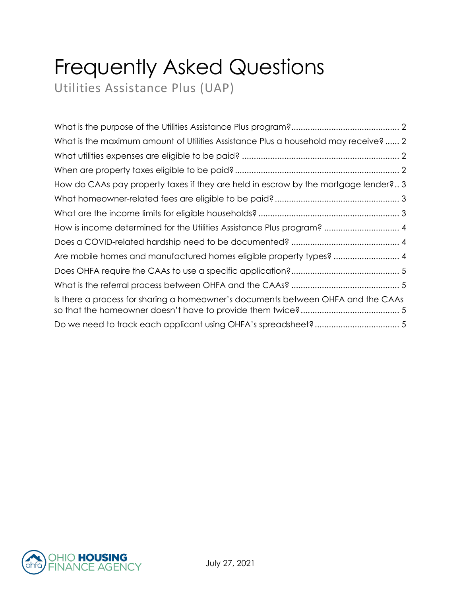# Frequently Asked Questions

Utilities Assistance Plus (UAP)

| What is the maximum amount of Utilities Assistance Plus a household may receive? 2 |
|------------------------------------------------------------------------------------|
|                                                                                    |
|                                                                                    |
| How do CAAs pay property taxes if they are held in escrow by the mortgage lender?3 |
|                                                                                    |
|                                                                                    |
| How is income determined for the Utilities Assistance Plus program?  4             |
|                                                                                    |
| Are mobile homes and manufactured homes eligible property types?  4                |
|                                                                                    |
|                                                                                    |
| Is there a process for sharing a homeowner's documents between OHFA and the CAAs   |
|                                                                                    |

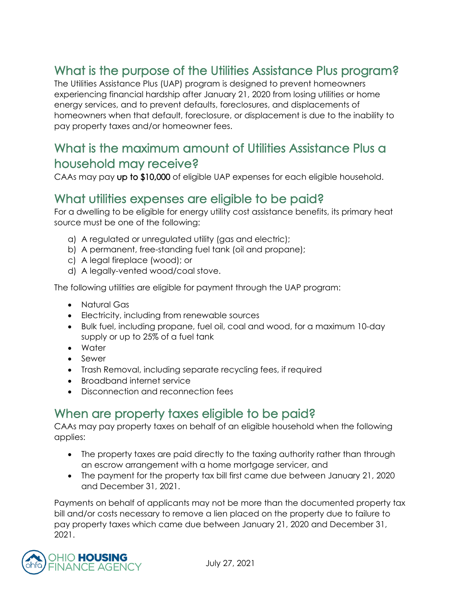## <span id="page-1-0"></span>What is the purpose of the Utilities Assistance Plus program?

The Utilities Assistance Plus (UAP) program is designed to prevent homeowners experiencing financial hardship after January 21, 2020 from losing utilities or home energy services, and to prevent defaults, foreclosures, and displacements of homeowners when that default, foreclosure, or displacement is due to the inability to pay property taxes and/or homeowner fees.

#### <span id="page-1-1"></span>What is the maximum amount of Utilities Assistance Plus a household may receive?

CAAs may pay up to \$10,000 of eligible UAP expenses for each eligible household.

#### <span id="page-1-2"></span>What utilities expenses are eligible to be paid?

For a dwelling to be eligible for energy utility cost assistance benefits, its primary heat source must be one of the following:

- a) A regulated or unregulated utility (gas and electric);
- b) A permanent, free-standing fuel tank (oil and propane);
- c) A legal fireplace (wood); or
- d) A legally-vented wood/coal stove.

The following utilities are eligible for payment through the UAP program:

- Natural Gas
- Electricity, including from renewable sources
- Bulk fuel, including propane, fuel oil, coal and wood, for a maximum 10-day supply or up to 25% of a fuel tank
- Water
- Sewer
- Trash Removal, including separate recycling fees, if required
- Broadband internet service
- Disconnection and reconnection fees

#### <span id="page-1-3"></span>When are property taxes eligible to be paid?

CAAs may pay property taxes on behalf of an eligible household when the following applies:

- The property taxes are paid directly to the taxing authority rather than through an escrow arrangement with a home mortgage servicer, and
- The payment for the property tax bill first came due between January 21, 2020 and December 31, 2021.

Payments on behalf of applicants may not be more than the documented property tax bill and/or costs necessary to remove a lien placed on the property due to failure to pay property taxes which came due between January 21, 2020 and December 31, 2021.

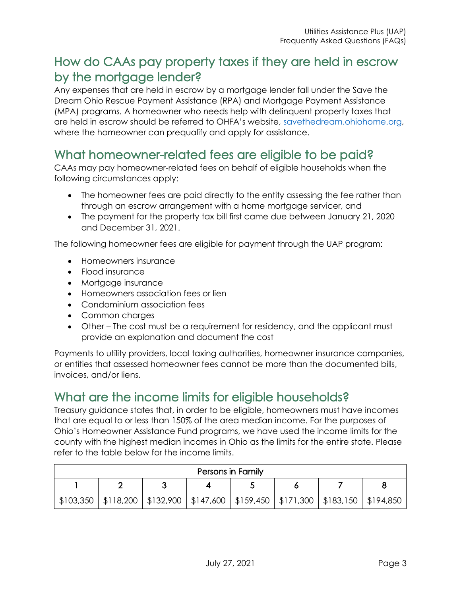## <span id="page-2-0"></span>How do CAAs pay property taxes if they are held in escrow by the mortgage lender?

Any expenses that are held in escrow by a mortgage lender fall under the Save the Dream Ohio Rescue Payment Assistance (RPA) and Mortgage Payment Assistance (MPA) programs. A homeowner who needs help with delinquent property taxes that are held in escrow should be referred to OHFA's website, [savethedream.ohiohome.org,](https://savethedream.ohiohome.org/) where the homeowner can prequalify and apply for assistance.

## <span id="page-2-1"></span>What homeowner-related fees are eligible to be paid?

CAAs may pay homeowner-related fees on behalf of eligible households when the following circumstances apply:

- The homeowner fees are paid directly to the entity assessing the fee rather than through an escrow arrangement with a home mortgage servicer, and
- The payment for the property tax bill first came due between January 21, 2020 and December 31, 2021.

The following homeowner fees are eligible for payment through the UAP program:

- Homeowners insurance
- Flood insurance
- Mortgage insurance
- Homeowners association fees or lien
- Condominium association fees
- Common charges
- Other The cost must be a requirement for residency, and the applicant must provide an explanation and document the cost

Payments to utility providers, local taxing authorities, homeowner insurance companies, or entities that assessed homeowner fees cannot be more than the documented bills, invoices, and/or liens.

#### <span id="page-2-2"></span>What are the income limits for eligible households?

Treasury guidance states that, in order to be eligible, homeowners must have incomes that are equal to or less than 150% of the area median income. For the purposes of Ohio's Homeowner Assistance Fund programs, we have used the income limits for the county with the highest median incomes in Ohio as the limits for the entire state. Please refer to the table below for the income limits.

| Persons in Family |  |  |                                                                                               |  |  |  |  |  |
|-------------------|--|--|-----------------------------------------------------------------------------------------------|--|--|--|--|--|
|                   |  |  |                                                                                               |  |  |  |  |  |
|                   |  |  | \$103,350   \$118,200   \$132,900   \$147,600   \$159,450   \$171,300   \$183,150   \$194,850 |  |  |  |  |  |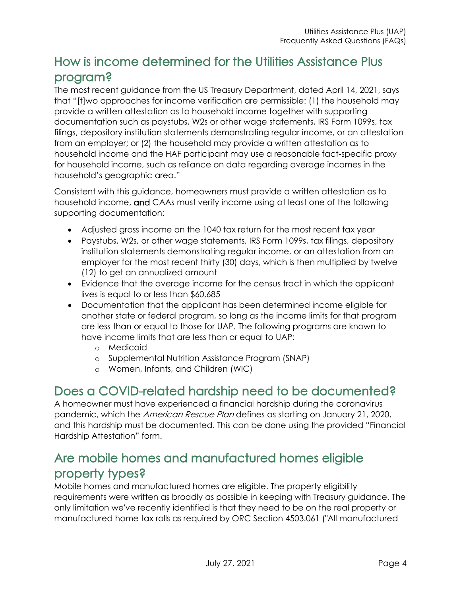## <span id="page-3-0"></span>How is income determined for the Utilities Assistance Plus program?

The most recent guidance from the US Treasury Department, dated April 14, 2021, says that "[t]wo approaches for income verification are permissible: (1) the household may provide a written attestation as to household income together with supporting documentation such as paystubs, W2s or other wage statements, IRS Form 1099s, tax filings, depository institution statements demonstrating regular income, or an attestation from an employer; or (2) the household may provide a written attestation as to household income and the HAF participant may use a reasonable fact-specific proxy for household income, such as reliance on data regarding average incomes in the household's geographic area."

Consistent with this guidance, homeowners must provide a written attestation as to household income, and CAAs must verify income using at least one of the following supporting documentation:

- Adjusted gross income on the 1040 tax return for the most recent tax year
- Paystubs, W2s, or other wage statements, IRS Form 1099s, tax filings, depository institution statements demonstrating regular income, or an attestation from an employer for the most recent thirty (30) days, which is then multiplied by twelve (12) to get an annualized amount
- Evidence that the average income for the census tract in which the applicant lives is equal to or less than \$60,685
- Documentation that the applicant has been determined income eligible for another state or federal program, so long as the income limits for that program are less than or equal to those for UAP. The following programs are known to have income limits that are less than or equal to UAP:
	- o Medicaid
	- o Supplemental Nutrition Assistance Program (SNAP)
	- o Women, Infants, and Children (WIC)

#### <span id="page-3-1"></span>Does a COVID-related hardship need to be documented?

A homeowner must have experienced a financial hardship during the coronavirus pandemic, which the *American Rescue Plan* defines as starting on January 21, 2020, and this hardship must be documented. This can be done using the provided "Financial Hardship Attestation" form.

#### <span id="page-3-2"></span>Are mobile homes and manufactured homes eligible property types?

Mobile homes and manufactured homes are eligible. The property eligibility requirements were written as broadly as possible in keeping with Treasury guidance. The only limitation we've recently identified is that they need to be on the real property or manufactured home tax rolls as required by ORC Section 4503.061 ("All manufactured